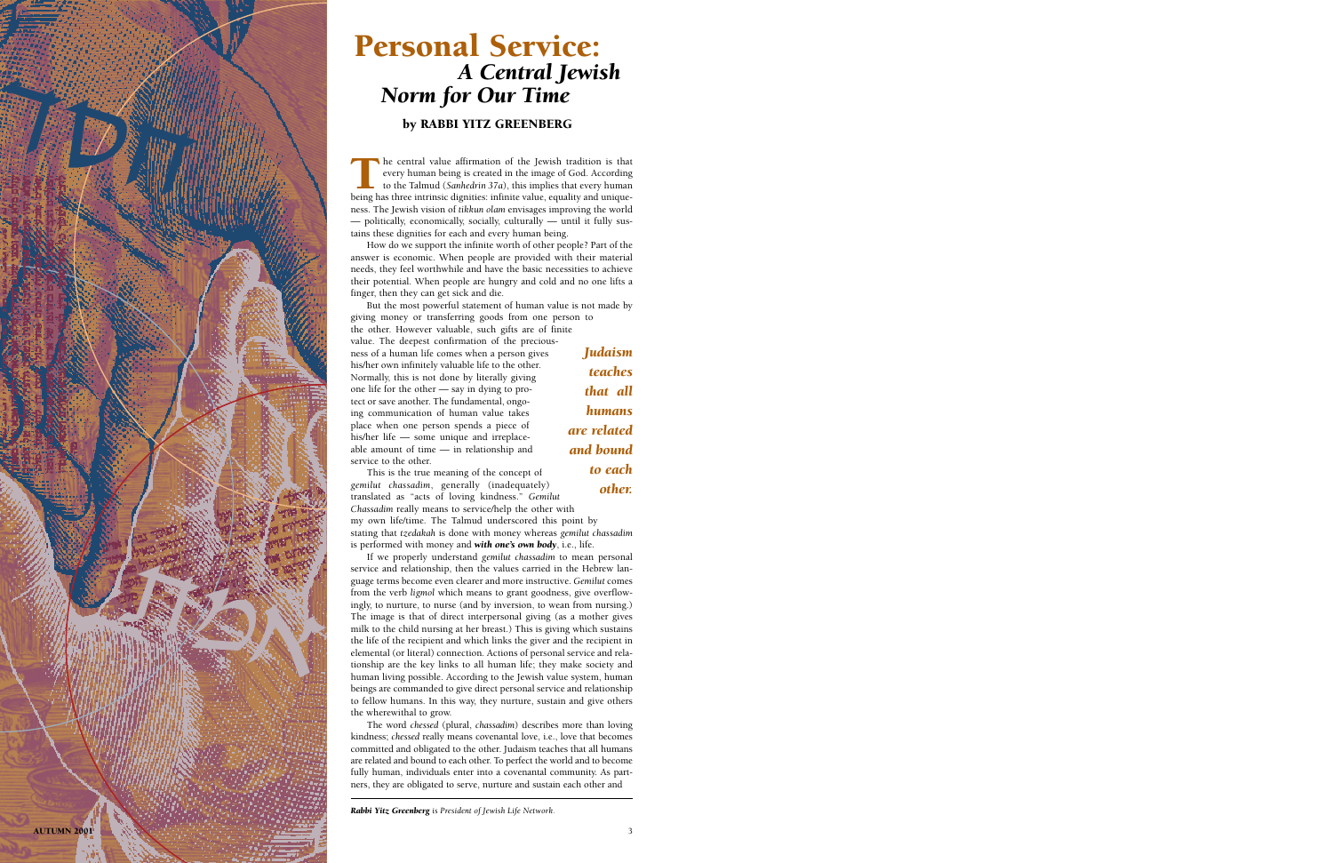

## Personal Service: *A Central Jewish Norm for Our Time*

## by RABBI YITZ GREENBERG

The central value affirmation of the Jewish tradition is that every human being is created in the image of God. According to the Talmud (*Sanhedrin* 37*a*), this implies that every human being has three intrinsic dignities every human being is created in the image of God. According to the Talmud (*Sanhedrin 37a*), this implies that every human being has three intrinsic dignities: infinite value, equality and uniqueness. The Jewish vision of *tikkun olam* envisages improving the world — politically, economically, socially, culturally — until it fully sustains these dignities for each and every human being.

How do we support the infinite worth of other people? Part of the answer is economic. When people are provided with their material needs, they feel worthwhile and have the basic necessities to achieve their potential. When people are hungry and cold and no one lifts a finger, then they can get sick and die.

But the most powerful statement of human value is not made by giving money or transferring goods from one person to

the other. However valuable, such gifts are of finite value. The deepest confirmation of the preciousness of a human life comes when a person gives his/her own infinitely valuable life to the other. Normally, this is not done by literally giving one life for the other — say in dying to protect or save another. The fundamental, ongoing communication of human value takes place when one person spends a piece of his/her life — some unique and irreplaceable amount of time — in relationship and service to the other.

*Judaism teaches that all humans are related and bound to each other.*

This is the true meaning of the concept of *gemilut chassadim*, generally (inadequately) translated as "acts of loving kindness." *Gemilut Chassadim* really means to service/help the other with

my own life/time. The Talmud underscored this point by stating that *tzedakah* is done with money whereas *gemilut chassadim* is performed with money and *with one's own body*, i.e., life.

If we properly understand *gemilut chassadim* to mean personal service and relationship, then the values carried in the Hebrew language terms become even clearer and more instructive. *Gemilut* comes from the verb *ligmol* which means to grant goodness, give overflowingly, to nurture, to nurse (and by inversion, to wean from nursing.) The image is that of direct interpersonal giving (as a mother gives milk to the child nursing at her breast.) This is giving which sustains the life of the recipient and which links the giver and the recipient in elemental (or literal) connection. Actions of personal service and relationship are the key links to all human life; they make society and human living possible. According to the Jewish value system, human beings are commanded to give direct personal service and relationship to fellow humans. In this way, they nurture, sustain and give others the wherewithal to grow.

The word *chessed* (plural, *chassadim*) describes more than loving kindness; *chessed* really means covenantal love, i.e., love that becomes committed and obligated to the other. Judaism teaches that all humans are related and bound to each other. To perfect the world and to become fully human, individuals enter into a covenantal community. As partners, they are obligated to serve, nurture and sustain each other and

*Rabbi Yitz Greenberg is President of Jewish Life Network.*